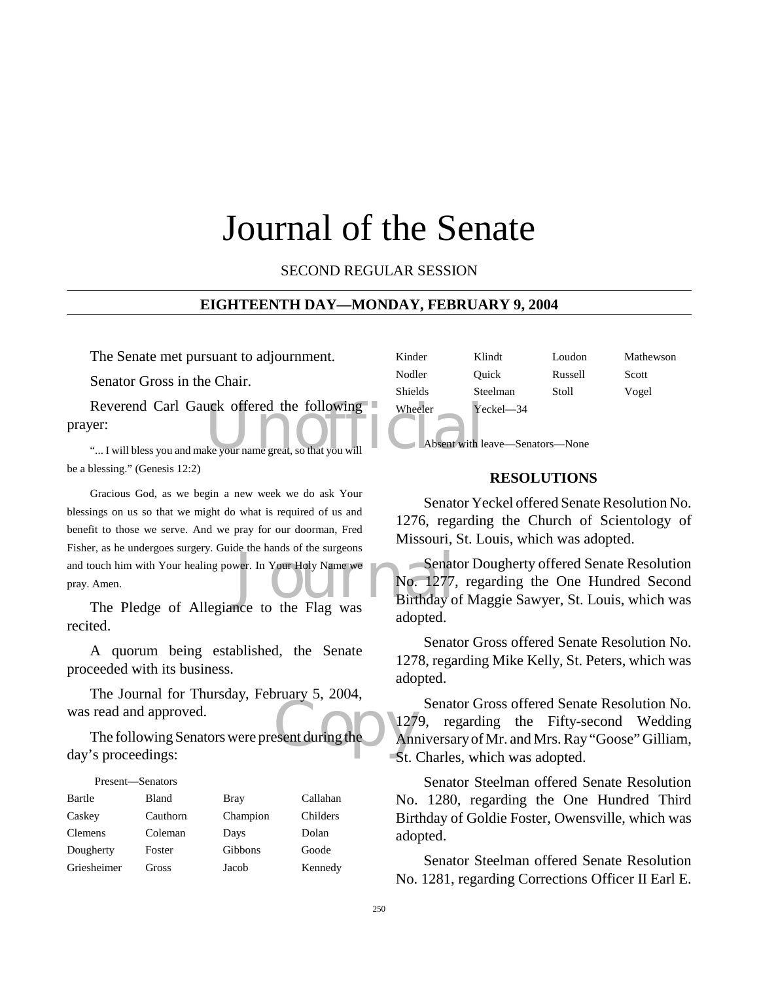## Journal of the Senate

SECOND REGULAR SESSION

## **EIGHTEENTH DAY—MONDAY, FEBRUARY 9, 2004**

The Senate met pursuant to adjournment.

Senator Gross in the Chair.

Reverend Carl Gauck offered the following wheeler Yever:<br>
"... I will bless you and make your name great, so that you will absent with let prayer:

"... I will bless you and make your name great, so that you will be a blessing." (Genesis 12:2)

Senat<br>
Wer. In Your Holy Name we<br>
Do. 1277,<br>
Birthday of the Flag was<br>
Birthday of Birthday of the Flag was Gracious God, as we begin a new week we do ask Your blessings on us so that we might do what is required of us and benefit to those we serve. And we pray for our doorman, Fred Fisher, as he undergoes surgery. Guide the hands of the surgeons and touch him with Your healing power. In Your Holy Name we pray. Amen.

The Pledge of Allegiance to the Flag was recited.

A quorum being established, the Senate proceeded with its business.

The Journal for Thursday, February 5, 2004, was read and approved.

 $\frac{127}{\text{Anr}}$ The following Senators were present during the day's proceedings:

| Present—Senators |              |             |          |
|------------------|--------------|-------------|----------|
| Bartle           | <b>Bland</b> | <b>Bray</b> | Callahan |
| Caskey           | Cauthorn     | Champion    | Childers |
| <b>Clemens</b>   | Coleman      | Days        | Dolan    |
| Dougherty        | Foster       | Gibbons     | Goode    |
| Griesheimer      | Gross        | Jacob       | Kennedy  |

| Kinder         | Klindt        | Loudon  | Mathewson |
|----------------|---------------|---------|-----------|
| Nodler         | Ouick         | Russell | Scott     |
| <b>Shields</b> | Steelman      | Stoll   | Vogel     |
| Wheeler        | $Yeckel - 34$ |         |           |
|                |               |         |           |

Absent with leave—Senators—None

## **RESOLUTIONS**

Senator Yeckel offered Senate Resolution No. 1276, regarding the Church of Scientology of Missouri, St. Louis, which was adopted.

Senator Dougherty offered Senate Resolution No. 1277, regarding the One Hundred Second Birthday of Maggie Sawyer, St. Louis, which was adopted.

Senator Gross offered Senate Resolution No. 1278, regarding Mike Kelly, St. Peters, which was adopted.

Senator Gross offered Senate Resolution No. 1279, regarding the Fifty-second Wedding Anniversary of Mr. and Mrs. Ray "Goose" Gilliam, St. Charles, which was adopted.

Senator Steelman offered Senate Resolution No. 1280, regarding the One Hundred Third Birthday of Goldie Foster, Owensville, which was adopted.

Senator Steelman offered Senate Resolution No. 1281, regarding Corrections Officer II Earl E.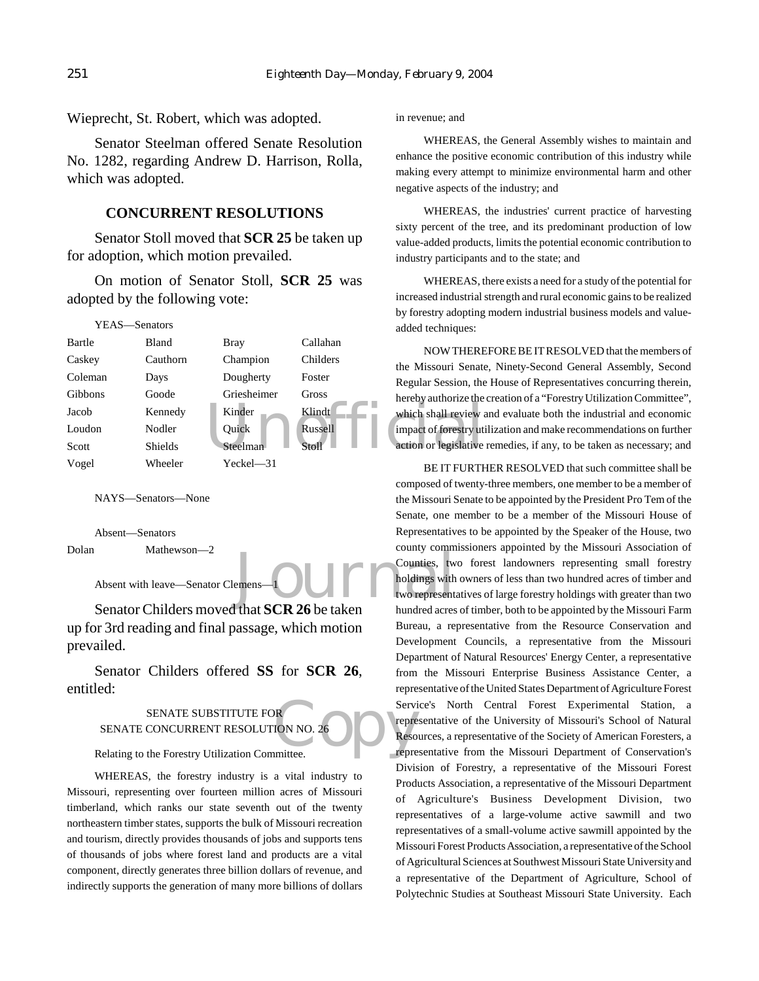Wieprecht, St. Robert, which was adopted.

Senator Steelman offered Senate Resolution No. 1282, regarding Andrew D. Harrison, Rolla, which was adopted.

## **CONCURRENT RESOLUTIONS**

Senator Stoll moved that **SCR 25** be taken up for adoption, which motion prevailed.

On motion of Senator Stoll, **SCR 25** was adopted by the following vote:

|         | YEAS—Senators  |             |          | added techniques:      |
|---------|----------------|-------------|----------|------------------------|
| Bartle  | Bland          | Bray        | Callahan | <b>NOW THERE</b>       |
| Caskey  | Cauthorn       | Champion    | Childers | the Missouri Senate    |
| Coleman | Days           | Dougherty   | Foster   | Regular Session, the   |
| Gibbons | Goode          | Griesheimer | Gross    | hereby authorize the   |
| Jacob   | Kennedy        | Kinder      | Klindt   | which shall review a   |
| Loudon  | Nodler         | Ouick       | Russell  | impact of forestry uti |
| Scott   | <b>Shields</b> | Steelman    | Stoll    | action or legislative  |
| Vogel   | Wheeler        | Yeckel—31   |          | BE IT FURTH            |

NAYS—Senators—None

Absent—Senators

Dolan Mathewson—2

Absent with leave—Senator Clemens

Senator Childers moved that **SCR 26** be taken up for 3rd reading and final passage, which motion prevailed.

Senator Childers offered **SS** for **SCR 26**, entitled:

## SENATE SUBSTITUTE FOR SENATE CONCURRENT RESOLUTION NO. 26

Relating to the Forestry Utilization Committee.

WHEREAS, the forestry industry is a vital industry to Missouri, representing over fourteen million acres of Missouri timberland, which ranks our state seventh out of the twenty northeastern timber states, supports the bulk of Missouri recreation and tourism, directly provides thousands of jobs and supports tens of thousands of jobs where forest land and products are a vital component, directly generates three billion dollars of revenue, and indirectly supports the generation of many more billions of dollars in revenue; and

WHEREAS, the General Assembly wishes to maintain and enhance the positive economic contribution of this industry while making every attempt to minimize environmental harm and other negative aspects of the industry; and

WHEREAS, the industries' current practice of harvesting sixty percent of the tree, and its predominant production of low value-added products, limits the potential economic contribution to industry participants and to the state; and

WHEREAS, there exists a need for a study of the potential for increased industrial strength and rural economic gains to be realized by forestry adopting modern industrial business models and valueadded techniques:

NOW THEREFORE BE IT RESOLVED that the members of the Missouri Senate, Ninety-Second General Assembly, Second Regular Session, the House of Representatives concurring therein, hereby authorize the creation of a "Forestry Utilization Committee", which shall review and evaluate both the industrial and economic impact of forestry utilization and make recommendations on further action or legislative remedies, if any, to be taken as necessary; and

Example of the town of the town of the town of the town of the town of the town of the town of the town of the town of the town of the town of the town of the town of the town of the town of the town of the town of the tow Servi<br>
ION NO. 26<br>
ION NO. 26<br>
ION Reso<br>
IPPERENT BE IT FURTHER RESOLVED that such committee shall be composed of twenty-three members, one member to be a member of the Missouri Senate to be appointed by the President Pro Tem of the Senate, one member to be a member of the Missouri House of Representatives to be appointed by the Speaker of the House, two county commissioners appointed by the Missouri Association of Counties, two forest landowners representing small forestry holdings with owners of less than two hundred acres of timber and two representatives of large forestry holdings with greater than two hundred acres of timber, both to be appointed by the Missouri Farm Bureau, a representative from the Resource Conservation and Development Councils, a representative from the Missouri Department of Natural Resources' Energy Center, a representative from the Missouri Enterprise Business Assistance Center, a representative of the United States Department of Agriculture Forest Service's North Central Forest Experimental Station, a representative of the University of Missouri's School of Natural Resources, a representative of the Society of American Foresters, a representative from the Missouri Department of Conservation's Division of Forestry, a representative of the Missouri Forest Products Association, a representative of the Missouri Department of Agriculture's Business Development Division, two representatives of a large-volume active sawmill and two representatives of a small-volume active sawmill appointed by the Missouri Forest Products Association, a representative of the School of Agricultural Sciences at Southwest Missouri State University and a representative of the Department of Agriculture, School of Polytechnic Studies at Southeast Missouri State University. Each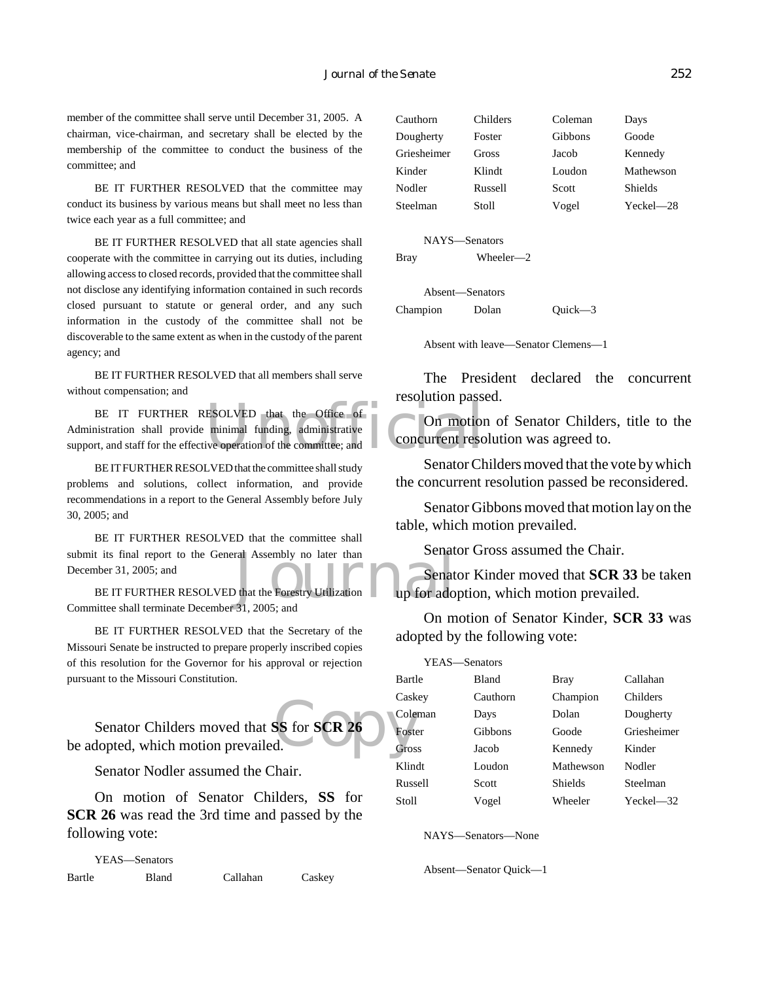member of the committee shall serve until December 31, 2005. A chairman, vice-chairman, and secretary shall be elected by the membership of the committee to conduct the business of the committee; and

BE IT FURTHER RESOLVED that the committee may conduct its business by various means but shall meet no less than twice each year as a full committee; and

BE IT FURTHER RESOLVED that all state agencies shall cooperate with the committee in carrying out its duties, including allowing access to closed records, provided that the committee shall not disclose any identifying information contained in such records closed pursuant to statute or general order, and any such information in the custody of the committee shall not be discoverable to the same extent as when in the custody of the parent agency; and

BE IT FURTHER RESOLVED that all members shall serve without compensation; and

BE IT FURTHER RESOLVED that the Office of<br>
initiation shall provide minimal funding, administrative<br>
rt, and staff for the effective operation of the committee; and Administration shall provide minimal funding, administrative support, and staff for the effective operation of the committee; and

BE IT FURTHER RESOLVED that the committee shall study problems and solutions, collect information, and provide recommendations in a report to the General Assembly before July 30, 2005; and

Senat<br>
Journal Assembly no later than<br>
Journal Senat<br>
Journal Senat<br>
Journal Senat<br>
Jup for ado BE IT FURTHER RESOLVED that the committee shall submit its final report to the General Assembly no later than December 31, 2005; and

BE IT FURTHER RESOLVED that the Forestry Utilization Committee shall terminate December 31, 2005; and

BE IT FURTHER RESOLVED that the Secretary of the Missouri Senate be instructed to prepare properly inscribed copies of this resolution for the Governor for his approval or rejection pursuant to the Missouri Constitution.

SS for SCR 26 Senator Childers moved that **SS** for **SCR 26** be adopted, which motion prevailed.

Senator Nodler assumed the Chair.

On motion of Senator Childers, **SS** for **SCR 26** was read the 3rd time and passed by the following vote:

YEAS—Senators Bartle Bland Callahan Caskey

| Cauthorn    | Childers | Coleman | Days           |
|-------------|----------|---------|----------------|
| Dougherty   | Foster   | Gibbons | Goode          |
| Griesheimer | Gross    | Jacob   | Kennedy        |
| Kinder      | Klindt   | Loudon  | Mathewson      |
| Nodler      | Russell  | Scott   | <b>Shields</b> |
| Steelman    | Stoll    | Vogel   | Yeckel—28      |

NAYS—Senators Bray Wheeler—2

Absent—Senators Champion Dolan Quick—3

Absent with leave—Senator Clemens—1

The President declared the concurrent resolution passed.

On motion of Senator Childers, title to the concurrent resolution was agreed to.

Senator Childers moved that the vote by which the concurrent resolution passed be reconsidered.

Senator Gibbons moved that motion lay on the table, which motion prevailed.

Senator Gross assumed the Chair.

Senator Kinder moved that **SCR 33** be taken up for adoption, which motion prevailed.

On motion of Senator Kinder, **SCR 33** was adopted by the following vote:

| YEAS-Senators |              |                |                |
|---------------|--------------|----------------|----------------|
| Bartle        | <b>Bland</b> | <b>Bray</b>    | Callahan       |
| Caskey        | Cauthorn     | Champion       | Childers       |
| Coleman       | Days         | Dolan          | Dougherty      |
| Foster        | Gibbons      | Goode          | Griesheimer    |
| Gross         | Jacob        | Kennedy        | Kinder         |
| Klindt        | Loudon       | Mathewson      | Nodler         |
| Russell       | Scott        | <b>Shields</b> | Steelman       |
| Stoll         | Vogel        | Wheeler        | $Yeckel$ $-32$ |

NAYS—Senators—None

Absent—Senator Quick—1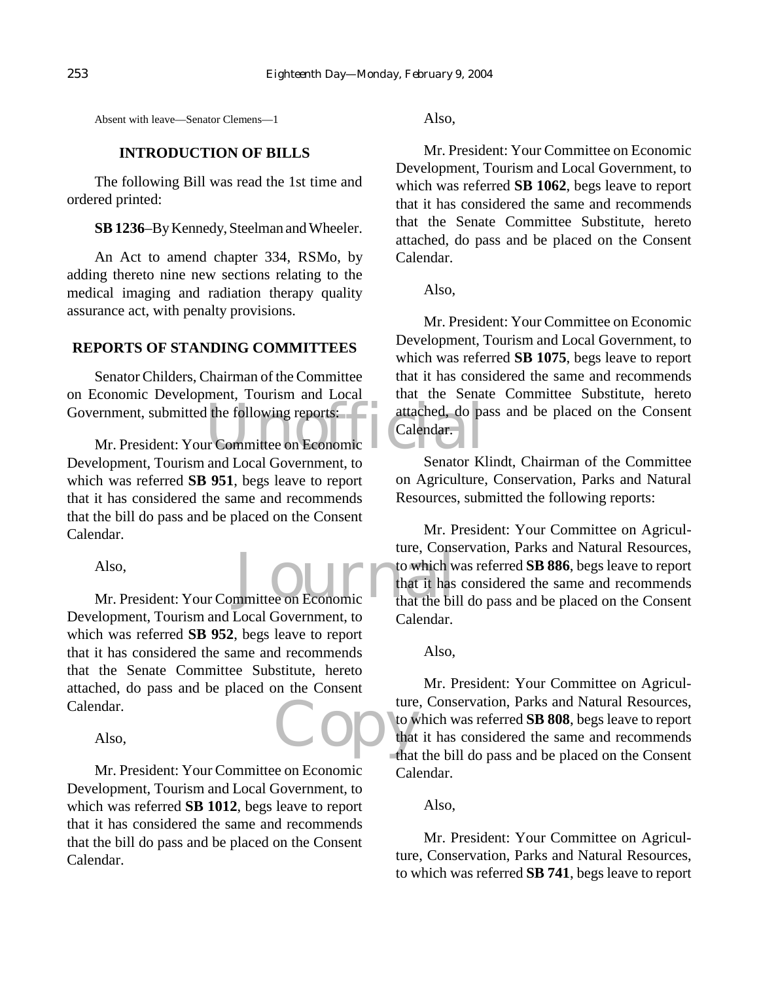Absent with leave—Senator Clemens—1

## **INTRODUCTION OF BILLS**

The following Bill was read the 1st time and ordered printed:

**SB 1236**–By Kennedy, Steelman and Wheeler.

An Act to amend chapter 334, RSMo, by adding thereto nine new sections relating to the medical imaging and radiation therapy quality assurance act, with penalty provisions.

## **REPORTS OF STANDING COMMITTEES**

Senator Childers, Chairman of the Committee on Economic Development, Tourism and Local

Government, submitted the following reports:<br>
Mr. President: Your Committee on Economic<br>
Development, Tangian and Level Government, the Sanatan Ki Mr. President: Your Committee on Economic Development, Tourism and Local Government, to which was referred **SB 951**, begs leave to report that it has considered the same and recommends that the bill do pass and be placed on the Consent Calendar.

Also,

Also,<br>Mr. President: Your Committee on Economic to which what it has Development, Tourism and Local Government, to which was referred **SB 952**, begs leave to report that it has considered the same and recommends that the Senate Committee Substitute, hereto attached, do pass and be placed on the Consent Calendar.

Also,

Mr. President: Your Committee on Economic Development, Tourism and Local Government, to which was referred **SB 1012**, begs leave to report that it has considered the same and recommends that the bill do pass and be placed on the Consent Calendar.

Also,

Mr. President: Your Committee on Economic Development, Tourism and Local Government, to which was referred **SB 1062**, begs leave to report that it has considered the same and recommends that the Senate Committee Substitute, hereto attached, do pass and be placed on the Consent Calendar.

Also,

Mr. President: Your Committee on Economic Development, Tourism and Local Government, to which was referred **SB 1075**, begs leave to report that it has considered the same and recommends that the Senate Committee Substitute, hereto attached, do pass and be placed on the Consent Calendar.

Senator Klindt, Chairman of the Committee on Agriculture, Conservation, Parks and Natural Resources, submitted the following reports:

Mr. President: Your Committee on Agriculture, Conservation, Parks and Natural Resources, to which was referred **SB 886**, begs leave to report that it has considered the same and recommends that the bill do pass and be placed on the Consent Calendar.

## Also,

Copy town Mr. President: Your Committee on Agriculture, Conservation, Parks and Natural Resources, to which was referred **SB 808**, begs leave to report that it has considered the same and recommends that the bill do pass and be placed on the Consent Calendar.

## Also,

Mr. President: Your Committee on Agriculture, Conservation, Parks and Natural Resources, to which was referred **SB 741**, begs leave to report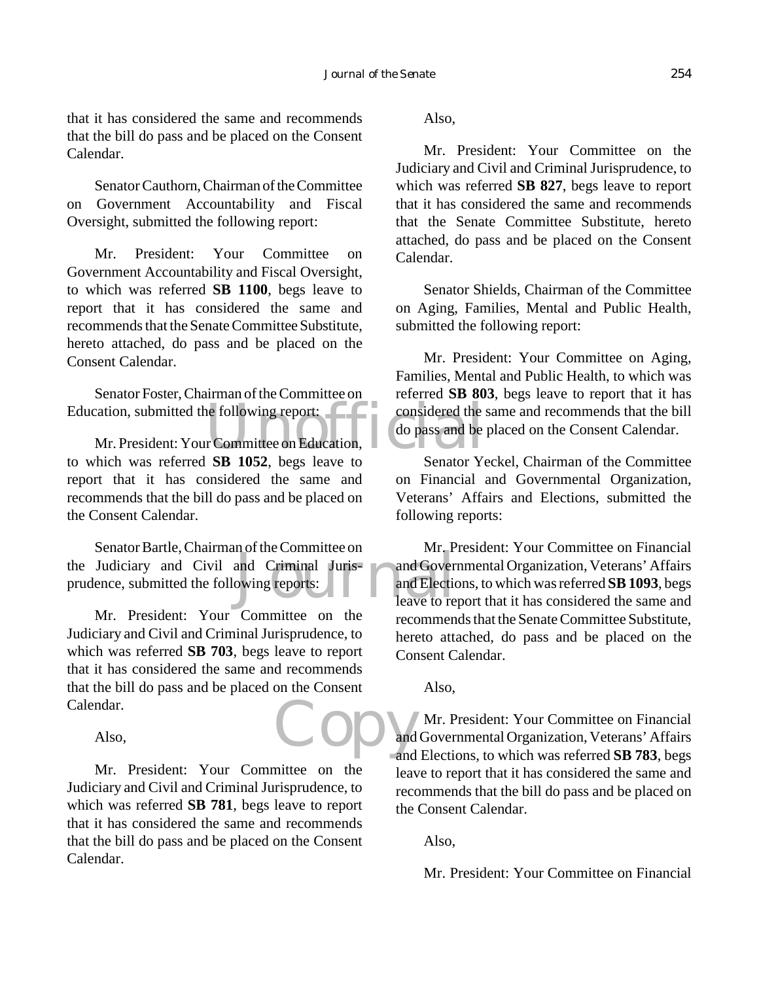that it has considered the same and recommends that the bill do pass and be placed on the Consent Calendar.

Senator Cauthorn, Chairman of the Committee on Government Accountability and Fiscal Oversight, submitted the following report:

Mr. President: Your Committee on Government Accountability and Fiscal Oversight, to which was referred **SB 1100**, begs leave to report that it has considered the same and recommends that the Senate Committee Substitute, hereto attached, do pass and be placed on the Consent Calendar.

Senator Foster, Chairman of the Committee on Education, submitted the following report:

Exercison, submitted the following report:<br>
Mr. President: Your Committee on Education,<br>
Notes and be<br>
Notes and be<br>
Sometime of the Secret Secret Secret Secret Secret Secret Secret Secret Secret Secret Secret Secret Secre to which was referred **SB 1052**, begs leave to report that it has considered the same and recommends that the bill do pass and be placed on the Consent Calendar.

and Criminal Juris-<br>
owing reports:<br>
Leave to re Senator Bartle, Chairman of the Committee on the Judiciary and Civil and Criminal Jurisprudence, submitted the following reports:

Copy and Mr. President: Your Committee on the Judiciary and Civil and Criminal Jurisprudence, to which was referred **SB 703**, begs leave to report that it has considered the same and recommends that the bill do pass and be placed on the Consent Calendar.

Also,

Mr. President: Your Committee on the Judiciary and Civil and Criminal Jurisprudence, to which was referred **SB 781**, begs leave to report that it has considered the same and recommends that the bill do pass and be placed on the Consent Calendar.

Also,

Mr. President: Your Committee on the Judiciary and Civil and Criminal Jurisprudence, to which was referred **SB 827**, begs leave to report that it has considered the same and recommends that the Senate Committee Substitute, hereto attached, do pass and be placed on the Consent Calendar.

Senator Shields, Chairman of the Committee on Aging, Families, Mental and Public Health, submitted the following report:

Mr. President: Your Committee on Aging, Families, Mental and Public Health, to which was referred **SB 803**, begs leave to report that it has considered the same and recommends that the bill do pass and be placed on the Consent Calendar.

Senator Yeckel, Chairman of the Committee on Financial and Governmental Organization, Veterans' Affairs and Elections, submitted the following reports:

Mr. President: Your Committee on Financial and Governmental Organization, Veterans' Affairs and Elections, to which was referred **SB 1093**, begs leave to report that it has considered the same and recommends that the Senate Committee Substitute, hereto attached, do pass and be placed on the Consent Calendar.

Also,

Mr. President: Your Committee on Financial and Governmental Organization, Veterans' Affairs and Elections, to which was referred **SB 783**, begs leave to report that it has considered the same and recommends that the bill do pass and be placed on the Consent Calendar.

Also,

Mr. President: Your Committee on Financial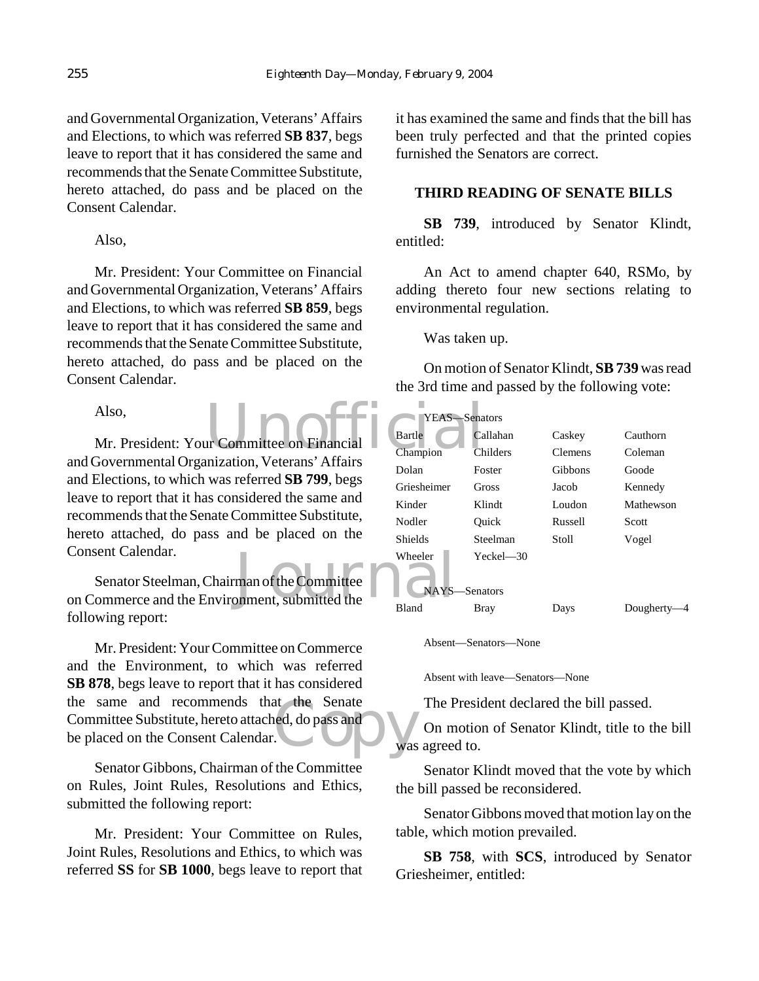and Governmental Organization, Veterans' Affairs and Elections, to which was referred **SB 837**, begs leave to report that it has considered the same and recommends that the Senate Committee Substitute, hereto attached, do pass and be placed on the Consent Calendar.

Also,

Mr. President: Your Committee on Financial and Governmental Organization, Veterans' Affairs and Elections, to which was referred **SB 859**, begs leave to report that it has considered the same and recommends that the Senate Committee Substitute, hereto attached, do pass and be placed on the Consent Calendar.

Also,

Also,<br>Mr. President: Your Committee on Financial Chartle Care Care Care Champion and Governmental Organization, Veterans' Affairs and Elections, to which was referred **SB 799**, begs leave to report that it has considered the same and recommends that the Senate Committee Substitute, hereto attached, do pass and be placed on the Consent Calendar.

Volkeler<br>
Senator Steelman, Chairman of the Committee<br>
on Commerce and the Environment, submitted the Senator Steelman, Chairman of the Committee following report:

at the Senate<br>ed, do pass and<br>was Mr. President: Your Committee on Commerce and the Environment, to which was referred **SB 878**, begs leave to report that it has considered the same and recommends that the Senate Committee Substitute, hereto attached, do pass and be placed on the Consent Calendar.

Senator Gibbons, Chairman of the Committee on Rules, Joint Rules, Resolutions and Ethics, submitted the following report:

Mr. President: Your Committee on Rules, Joint Rules, Resolutions and Ethics, to which was referred **SS** for **SB 1000**, begs leave to report that it has examined the same and finds that the bill has been truly perfected and that the printed copies furnished the Senators are correct.

## **THIRD READING OF SENATE BILLS**

**SB 739**, introduced by Senator Klindt, entitled:

An Act to amend chapter 640, RSMo, by adding thereto four new sections relating to environmental regulation.

Was taken up.

On motion of Senator Klindt, **SB 739** was read the 3rd time and passed by the following vote:

| YEAS-       | -Senators     |                |           |
|-------------|---------------|----------------|-----------|
| Bartle      | Callahan      | Caskey         | Cauthorn  |
| Champion    | Childers      | <b>Clemens</b> | Coleman   |
| Dolan       | Foster        | Gibbons        | Goode     |
| Griesheimer | Gross         | Jacob          | Kennedy   |
| Kinder      | Klindt        | Loudon         | Mathewson |
| Nodler      | Ouick         | Russell        | Scott     |
| Shields     | Steelman      | Stoll          | Vogel     |
| Wheeler     | $Yeckel - 30$ |                |           |
|             | NAYS-Senators |                |           |
| Bland       | Bray          | Days           | Dougherty |

Absent—Senators—None

Absent with leave—Senators—None

The President declared the bill passed.

On motion of Senator Klindt, title to the bill was agreed to.

Senator Klindt moved that the vote by which the bill passed be reconsidered.

Senator Gibbons moved that motion lay on the table, which motion prevailed.

**SB 758**, with **SCS**, introduced by Senator Griesheimer, entitled: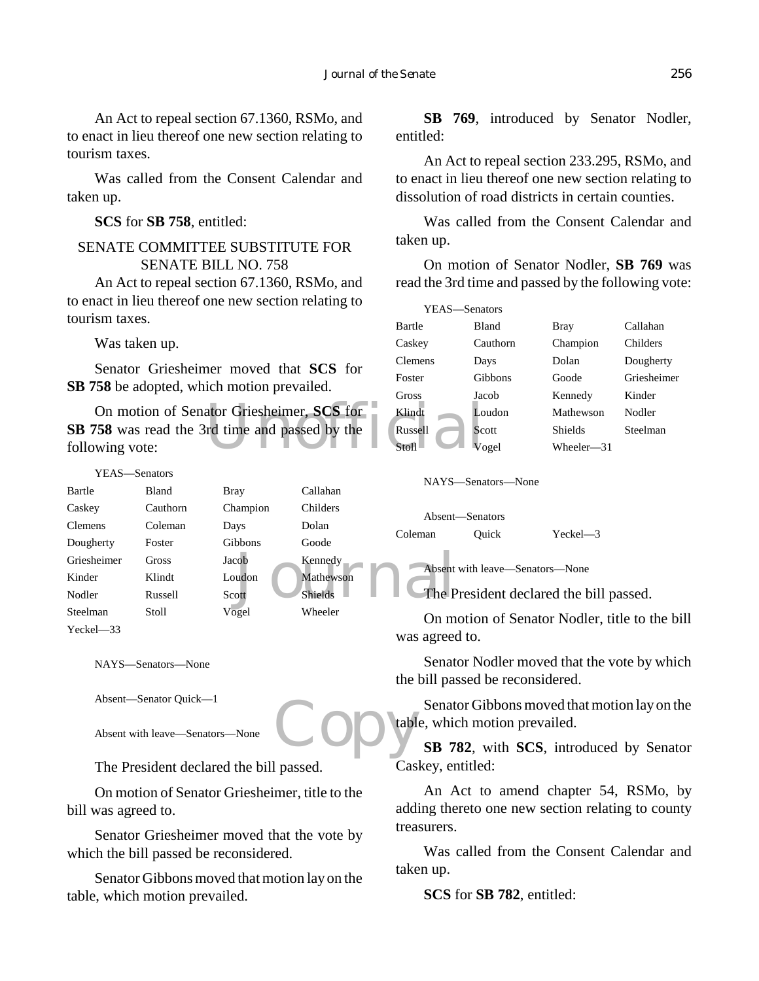An Act to repeal section 67.1360, RSMo, and to enact in lieu thereof one new section relating to tourism taxes.

Was called from the Consent Calendar and taken up.

**SCS** for **SB 758**, entitled:

## SENATE COMMITTEE SUBSTITUTE FOR SENATE BILL NO. 758

An Act to repeal section 67.1360, RSMo, and to enact in lieu thereof one new section relating to tourism taxes.

Was taken up.

Senator Griesheimer moved that **SCS** for **SB 758** be adopted, which motion prevailed.

On motion of Senator Griesheimer, **SCS** for Klindt<br>
View Wing vote: Stoll Container Stock Container Stock Container Stock Container Stock Container Stock Container Stock Container Stock Container Stock Container Stock Cont **SB 758** was read the 3rd time and passed by the following vote:

```
Ne Rennedy<br>
Mathewson<br>
Shields
The P
   YEAS—Senators
Bartle Bland Bray Callahan
Caskey Cauthorn Champion Childers
Clemens Coleman Days Dolan
Dougherty Foster Gibbons Goode
Griesheimer Gross Jacob Kennedy
Kinder Klindt Loudon Mathewson
Nodler Russell Scott Shields
Steelman Stoll Vogel Wheeler
Yeckel—33
```
NAYS—Senators—None

Absent—Senator Quick—1

Absent with leave—Senators—None

The President declared the bill passed.

On motion of Senator Griesheimer, title to the bill was agreed to.

Senator Griesheimer moved that the vote by which the bill passed be reconsidered.

Senator Gibbons moved that motion lay on the table, which motion prevailed.

**SB 769**, introduced by Senator Nodler, entitled:

An Act to repeal section 233.295, RSMo, and to enact in lieu thereof one new section relating to dissolution of road districts in certain counties.

Was called from the Consent Calendar and taken up.

On motion of Senator Nodler, **SB 769** was read the 3rd time and passed by the following vote:

| YEAS-Senators |              |            |             |
|---------------|--------------|------------|-------------|
| Bartle        | <b>Bland</b> | Bray       | Callahan    |
| Caskey        | Cauthorn     | Champion   | Childers    |
| Clemens       | Days         | Dolan      | Dougherty   |
| Foster        | Gibbons      | Goode      | Griesheimer |
| Gross         | Jacob        | Kennedy    | Kinder      |
| Klindt        | Loudon       | Mathewson  | Nodler      |
| Russell       | Scott        | Shields    | Steelman    |
| Stoll         | Vogel        | Wheeler-31 |             |

NAYS—Senators—None

Absent—Senators Coleman Quick Yeckel—3

Absent with leave—Senators—None

The President declared the bill passed.

On motion of Senator Nodler, title to the bill was agreed to.

Senator Nodler moved that the vote by which the bill passed be reconsidered.

Copy Senator Gibbons moved that motion lay on the table, which motion prevailed.

**SB 782**, with **SCS**, introduced by Senator Caskey, entitled:

An Act to amend chapter 54, RSMo, by adding thereto one new section relating to county treasurers.

Was called from the Consent Calendar and taken up.

**SCS** for **SB 782**, entitled: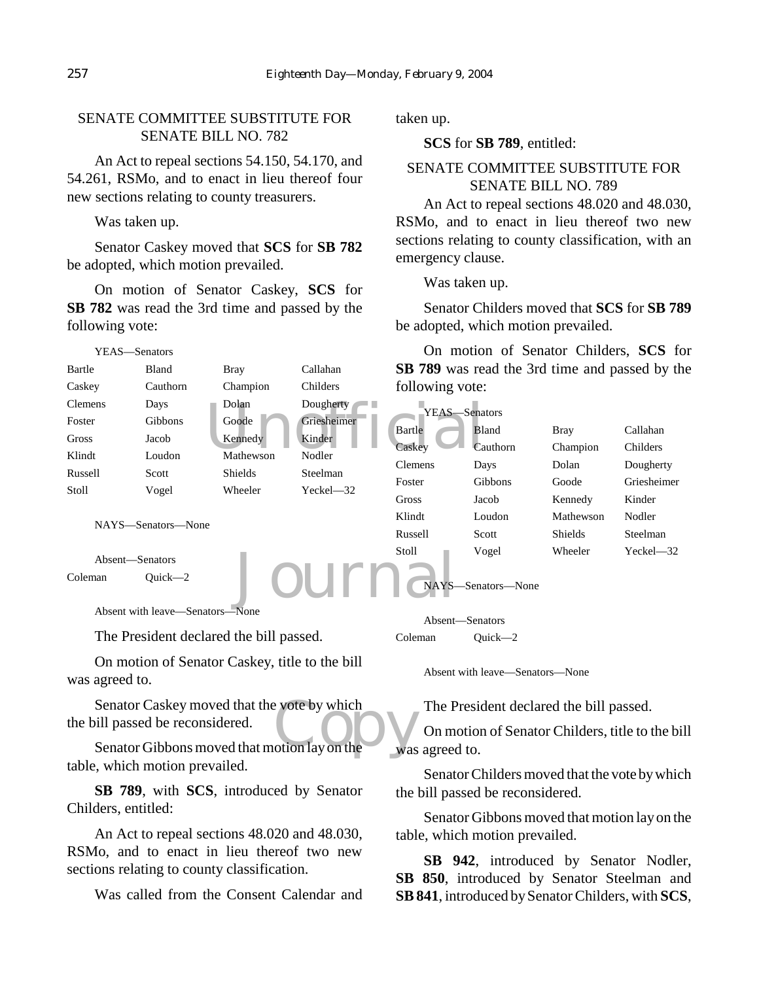## SENATE COMMITTEE SUBSTITUTE FOR SENATE BILL NO. 782

An Act to repeal sections 54.150, 54.170, and 54.261, RSMo, and to enact in lieu thereof four new sections relating to county treasurers.

Was taken up.

YEAS—Senators

Senator Caskey moved that **SCS** for **SB 782** be adopted, which motion prevailed.

On motion of Senator Caskey, **SCS** for **SB 782** was read the 3rd time and passed by the following vote:

Bartle Bland Bray Callahan Caskey Cauthorn Champion Childers

taken up.

**SCS** for **SB 789**, entitled:

## SENATE COMMITTEE SUBSTITUTE FOR SENATE BILL NO. 789

An Act to repeal sections 48.020 and 48.030, RSMo, and to enact in lieu thereof two new sections relating to county classification, with an emergency clause.

Was taken up.

Senator Childers moved that **SCS** for **SB 789** be adopted, which motion prevailed.

On motion of Senator Childers, **SCS** for **SB 789** was read the 3rd time and passed by the following vote:

| Clemens         | Days                                                | Dolan-    | Dougherty     | YEAS-Senators  |                    |                |               |
|-----------------|-----------------------------------------------------|-----------|---------------|----------------|--------------------|----------------|---------------|
| Foster          | Gibbons                                             | Goode     | Griesheimer   | Bartle         | <b>Bland</b>       | <b>Bray</b>    | Callahan      |
| Gross           | Jacob                                               | Kennedy   | Kinder        | Caskey         | Cauthorn           | Champion       | Childers      |
| Klindt          | Loudon                                              | Mathewson | Nodler        |                |                    |                |               |
| Russell         | Scott                                               | Shields   | Steelman      | <b>Clemens</b> | Days               | Dolan          | Dougherty     |
| Stoll           | Vogel                                               | Wheeler   | $Yeckel - 32$ | Foster         | <b>Gibbons</b>     | Goode          | Griesheimer   |
|                 |                                                     |           |               | Gross          | Jacob              | Kennedy        | Kinder        |
|                 | NAYS—Senators—None                                  |           |               | Klindt         | Loudon             | Mathewson      | Nodler        |
|                 |                                                     |           |               | Russell        | Scott              | <b>Shields</b> | Steelman      |
| Absent-Senators |                                                     |           |               | Stoll          | Vogel              | Wheeler        | $Yeckel - 32$ |
| Coleman         | $Quick-2$                                           |           |               |                | NAYS-Senators-None |                |               |
|                 | $\mathbf{M}$ $\mathbf{M}$ $\mathbf{M}$ $\mathbf{M}$ |           |               |                |                    |                |               |

Absent with leave—Senators—None

The President declared the bill passed.

On motion of Senator Caskey, title to the bill was agreed to.

Senator Caskey moved that the vote by which<br>
ill passed be reconsidered.<br>
Senator Gibbons moved that motion lay on the was the bill passed be reconsidered.

Senator Gibbons moved that motion lay on the table, which motion prevailed.

**SB 789**, with **SCS**, introduced by Senator Childers, entitled:

An Act to repeal sections 48.020 and 48.030, RSMo, and to enact in lieu thereof two new sections relating to county classification.

Was called from the Consent Calendar and

Absent—Senators Coleman Quick—2

Absent with leave—Senators—None

The President declared the bill passed.

On motion of Senator Childers, title to the bill was agreed to.

Senator Childers moved that the vote by which the bill passed be reconsidered.

Senator Gibbons moved that motion lay on the table, which motion prevailed.

**SB 942**, introduced by Senator Nodler, **SB 850**, introduced by Senator Steelman and **SB 841**, introduced by Senator Childers, with **SCS**,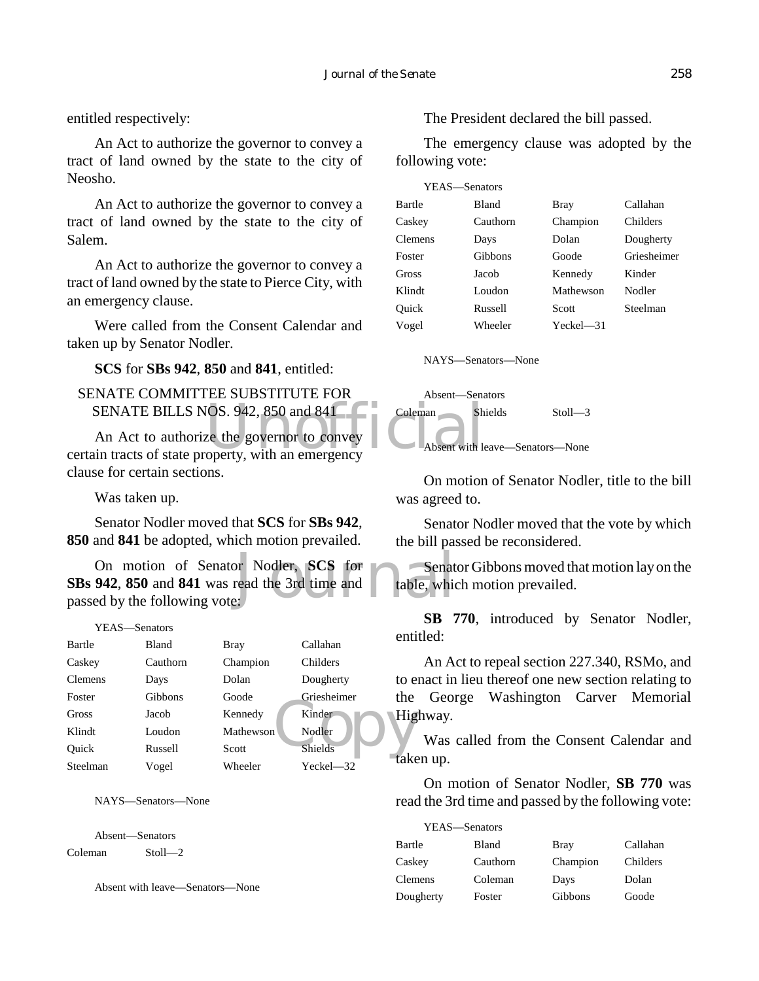entitled respectively:

An Act to authorize the governor to convey a tract of land owned by the state to the city of Neosho.

An Act to authorize the governor to convey a tract of land owned by the state to the city of Salem.

An Act to authorize the governor to convey a tract of land owned by the state to Pierce City, with an emergency clause.

Were called from the Consent Calendar and taken up by Senator Nodler.

**SCS** for **SBs 942**, **850** and **841**, entitled:

## SENATE COMMITTEE SUBSTITUTE FOR SENATE BILLS NOS. 942, 850 and 841

SENATE BILLS NOS. 942, 850 and 841 Coleman Sh<br>
An Act to authorize the governor to convey<br>
certain tracts of state property, with an emergency An Act to authorize the governor to convey clause for certain sections.

Was taken up.

Senator Nodler moved that **SCS** for **SBs 942**, **850** and **841** be adopted, which motion prevailed.

or Nodler, SCS for<br>read the 3rd time and table, which On motion of Senator Nodler, **SCS** for **SBs 942**, **850** and **841** was read the 3rd time and passed by the following vote:

### YEAS—Senators

| Bartle         | Bland    | <b>Bray</b> | Callahan       | CHLI |
|----------------|----------|-------------|----------------|------|
| Caskey         | Cauthorn | Champion    | Childers       |      |
| <b>Clemens</b> | Days     | Dolan       | Dougherty      | to e |
| Foster         | Gibbons  | Goode       | Griesheimer    | the  |
| Gross          | Jacob    | Kennedy     | Kinder         | Hig  |
| Klindt         | Loudon   | Mathewson   | Nodler         |      |
| Ouick          | Russell  | Scott       | <b>Shields</b> |      |
| Steelman       | Vogel    | Wheeler     | Yeckel $-32$   | ke   |

NAYS—Senators—None

Absent—Senators Coleman Stoll—2

Absent with leave—Senators—None

The President declared the bill passed.

The emergency clause was adopted by the following vote:

| YEAS—Senators  |              |             |             |
|----------------|--------------|-------------|-------------|
| Bartle         | <b>Bland</b> | <b>Bray</b> | Callahan    |
| Caskey         | Cauthorn     | Champion    | Childers    |
| <b>Clemens</b> | Days         | Dolan       | Dougherty   |
| Foster         | Gibbons      | Goode       | Griesheimer |
| Gross          | Jacob        | Kennedy     | Kinder      |
| Klindt         | Loudon       | Mathewson   | Nodler      |
| Ouick          | Russell      | Scott       | Steelman    |
| Vogel          | Wheeler      | $Yech = 31$ |             |
|                |              |             |             |

NAYS—Senators—None



On motion of Senator Nodler, title to the bill was agreed to.

Senator Nodler moved that the vote by which the bill passed be reconsidered.

Senator Gibbons moved that motion lay on the table, which motion prevailed.

**SB 770**, introduced by Senator Nodler, entitled:

An Act to repeal section 227.340, RSMo, and to enact in lieu thereof one new section relating to the George Washington Carver Memorial Highway.

Was called from the Consent Calendar and taken up.

On motion of Senator Nodler, **SB 770** was read the 3rd time and passed by the following vote:

| YEAS—Senators |              |             |          |
|---------------|--------------|-------------|----------|
| Bartle        | <b>Bland</b> | <b>Bray</b> | Callahan |
| Caskey        | Cauthorn     | Champion    | Childers |
| Clemens       | Coleman      | Days        | Dolan    |
| Dougherty     | Foster       | Gibbons     | Goode    |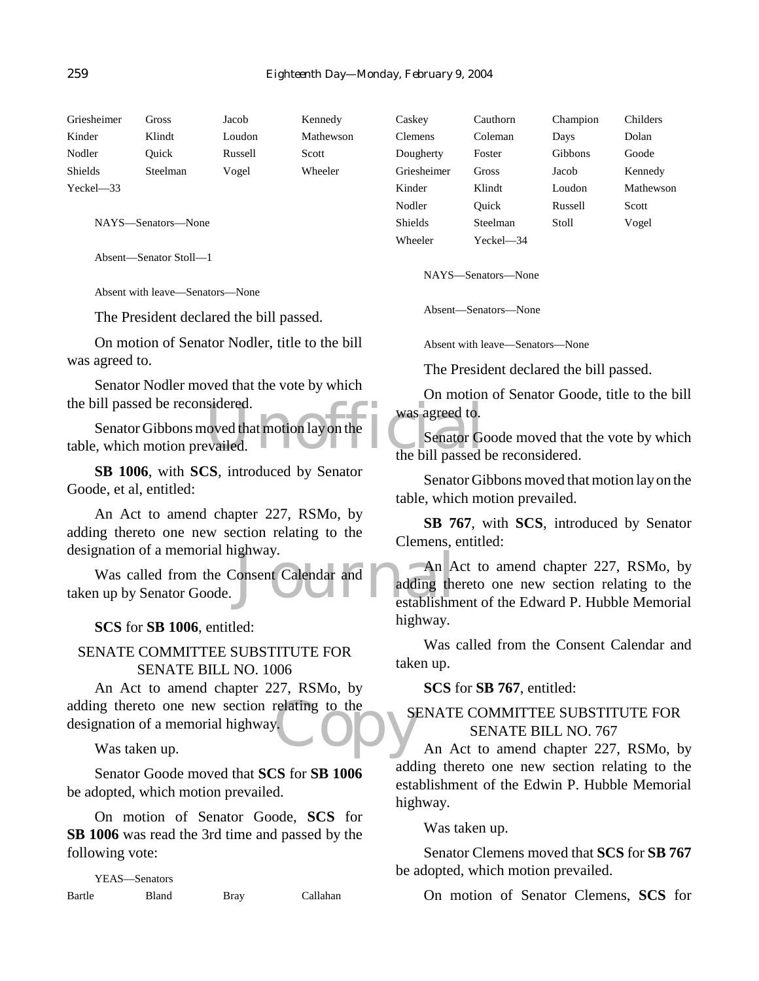| Griesheimer   | Gross              | Jacob   | Kennedy   | Caskey      | Cauthorn  | Champion       | Childers  |
|---------------|--------------------|---------|-----------|-------------|-----------|----------------|-----------|
| Kinder        | Klindt             | Loudon  | Mathewson | Clemens     | Coleman   | Days           | Dolan     |
| Nodler        | Ouick              | Russell | Scott     | Dougherty   | Foster    | <b>Gibbons</b> | Goode     |
| Shields       | Steelman           | Vogel   | Wheeler   | Griesheimer | Gross     | Jacob          | Kennedy   |
| $Yeckel - 33$ |                    |         |           | Kinder      | Klindt    | Loudon         | Mathewson |
|               |                    |         |           | Nodler      | Ouick     | Russell        | Scott     |
|               | NAYS—Senators—None |         |           | Shields     | Steelman  | Stoll          | Vogel     |
|               |                    |         |           | Wheeler     | Yeckel—34 |                |           |

Absent—Senator Stoll—1

Absent with leave—Senators—None

The President declared the bill passed.

On motion of Senator Nodler, title to the bill was agreed to.

Senator Nodler moved that the vote by which the bill passed be reconsidered.

Senator Government of the Mary on the Mary on the Senator Government of the bill passed in the bill passed in the bill passed in the bill passed in the bill passed in the bill passed in the bill passed in the bill passed i Senator Gibbons moved that motion lay on the table, which motion prevailed.

**SB 1006**, with **SCS**, introduced by Senator Goode, et al, entitled:

An Act to amend chapter 227, RSMo, by adding thereto one new section relating to the designation of a memorial highway.

Ignway.<br>Consent Calendar and Calendar and Calendar and Calendar and Calendar and Calendar and Calendar and Andrew Andrew Andrew Andrew Andrew Andrew Andrew Andrew Andrew Andrew Andrew Andrew Andrew Andrew Andrew Andrew And Was called from the Consent Calendar and taken up by Senator Goode.

## **SCS** for **SB 1006**, entitled:

## SENATE COMMITTEE SUBSTITUTE FOR SENATE BILL NO. 1006

adding thereto one new section relating to the designation of a memorial highway. An Act to amend chapter 227, RSMo, by designation of a memorial highway.

Was taken up.

Senator Goode moved that **SCS** for **SB 1006** be adopted, which motion prevailed.

On motion of Senator Goode, **SCS** for **SB 1006** was read the 3rd time and passed by the following vote:

YEAS—Senators Bartle Bland Bray Callahan Absent—Senators—None

NAYS—Senators—None

Absent with leave—Senators—None

The President declared the bill passed.

On motion of Senator Goode, title to the bill was agreed to.

Senator Goode moved that the vote by which the bill passed be reconsidered.

Senator Gibbons moved that motion lay on the table, which motion prevailed.

**SB 767**, with **SCS**, introduced by Senator Clemens, entitled:

An Act to amend chapter 227, RSMo, by adding thereto one new section relating to the establishment of the Edward P. Hubble Memorial highway.

Was called from the Consent Calendar and taken up.

**SCS** for **SB 767**, entitled:

## SENATE COMMITTEE SUBSTITUTE FOR SENATE BILL NO. 767

An Act to amend chapter 227, RSMo, by adding thereto one new section relating to the establishment of the Edwin P. Hubble Memorial highway.

Was taken up.

Senator Clemens moved that **SCS** for **SB 767** be adopted, which motion prevailed.

On motion of Senator Clemens, **SCS** for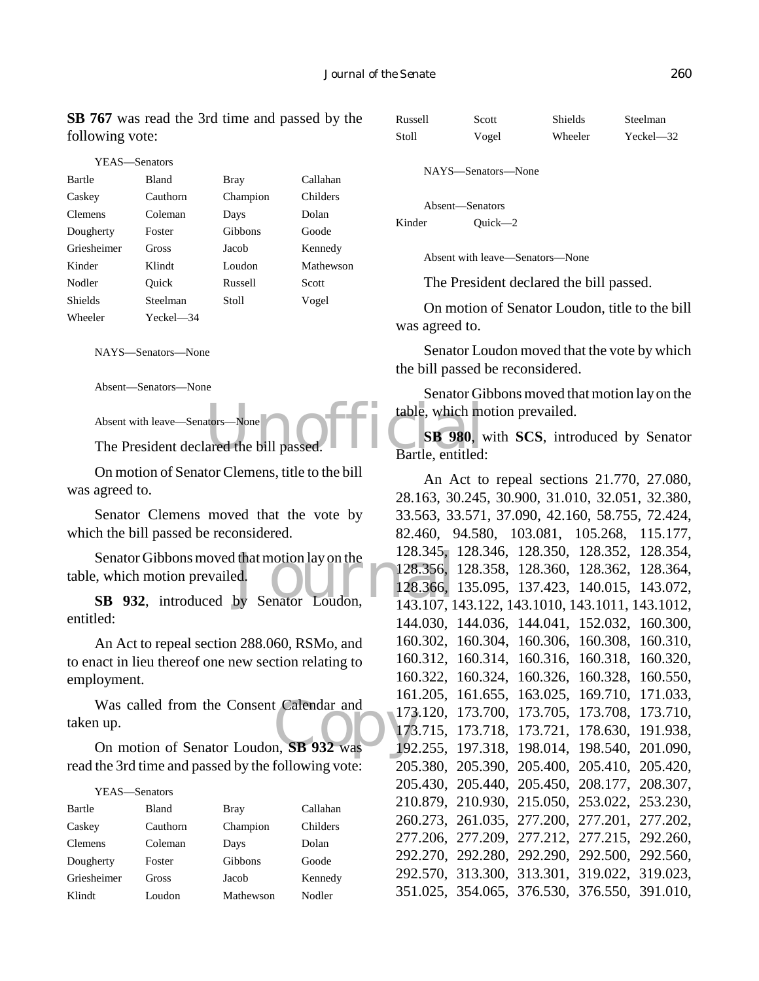**SB 767** was read the 3rd time and passed by the following vote:

| YEAS—Senators  |           |          |           |
|----------------|-----------|----------|-----------|
| Bartle         | Bland     | Bray     | Callahan  |
| Caskey         | Cauthorn  | Champion | Childers  |
| <b>Clemens</b> | Coleman   | Days     | Dolan     |
| Dougherty      | Foster    | Gibbons  | Goode     |
| Griesheimer    | Gross     | Jacob    | Kennedy   |
| Kinder         | Klindt    | Loudon   | Mathewson |
| Nodler         | Ouick     | Russell  | Scott     |
| Shields        | Steelman  | Stoll    | Vogel     |
| Wheeler        | Yeckel—34 |          |           |

NAYS—Senators—None

Absent—Senators—None

Absent with leave—Senators—None

The President declared the bill passed.

On motion of Senator Clemens, title to the bill was agreed to.

Senator Clemens moved that the vote by which the bill passed be reconsidered.

Senator Gibbons moved that motion lay on the 128.345,<br>
by Senator Loudon, 128.366, 128.366, 1328.366, 1328.366, 1328.366, 1328.366, 1328.366, 1328.366, 143.107, 1 table, which motion prevailed.

**SB 932**, introduced by Senator Loudon, entitled:

An Act to repeal section 288.060, RSMo, and to enact in lieu thereof one new section relating to employment.

Was called from the Consent Calendar and<br>
173<br>
On motion of Senator Loudon, **SB 932** was<br>
192 taken up.

On motion of Senator Loudon, **SB 932** was read the 3rd time and passed by the following vote:

## YEAS—Senators

| Bartle      | <b>Bland</b> | <b>Bray</b> | Callahan |
|-------------|--------------|-------------|----------|
| Caskey      | Cauthorn     | Champion    | Childers |
| Clemens     | Coleman      | Days        | Dolan    |
| Dougherty   | Foster       | Gibbons     | Goode    |
| Griesheimer | Gross        | Jacob       | Kennedy  |
| Klindt      | Loudon       | Mathewson   | Nodler   |

Russell Scott Shields Steelman Stoll Vogel Wheeler Yeckel—32

NAYS—Senators—None

Absent—Senators Kinder Ouick—2

Absent with leave—Senators—None

The President declared the bill passed.

On motion of Senator Loudon, title to the bill was agreed to.

Senator Loudon moved that the vote by which the bill passed be reconsidered.

Senator Gibbons moved that motion lay on the table, which motion prevailed.

tors—None<br>ared the bill passed. Electric Contract Contract Contract Contract Contract Contract Contract Contract Contract Contract Contract Contract Contract Contract Contract Contract Contract Contract Contract Contract C **SB 980**, with **SCS**, introduced by Senator Bartle, entitled:

> An Act to repeal sections 21.770, 27.080, 28.163, 30.245, 30.900, 31.010, 32.051, 32.380, 33.563, 33.571, 37.090, 42.160, 58.755, 72.424, 82.460, 94.580, 103.081, 105.268, 115.177, 128.345, 128.346, 128.350, 128.352, 128.354, 128.356, 128.358, 128.360, 128.362, 128.364, 128.366, 135.095, 137.423, 140.015, 143.072, 143.107, 143.122, 143.1010, 143.1011, 143.1012, 144.030, 144.036, 144.041, 152.032, 160.300, 160.302, 160.304, 160.306, 160.308, 160.310, 160.312, 160.314, 160.316, 160.318, 160.320, 160.322, 160.324, 160.326, 160.328, 160.550, 161.205, 161.655, 163.025, 169.710, 171.033, 173.120, 173.700, 173.705, 173.708, 173.710, 173.715, 173.718, 173.721, 178.630, 191.938, 192.255, 197.318, 198.014, 198.540, 201.090, 205.380, 205.390, 205.400, 205.410, 205.420, 205.430, 205.440, 205.450, 208.177, 208.307, 210.879, 210.930, 215.050, 253.022, 253.230, 260.273, 261.035, 277.200, 277.201, 277.202, 277.206, 277.209, 277.212, 277.215, 292.260, 292.270, 292.280, 292.290, 292.500, 292.560, 292.570, 313.300, 313.301, 319.022, 319.023, 351.025, 354.065, 376.530, 376.550, 391.010,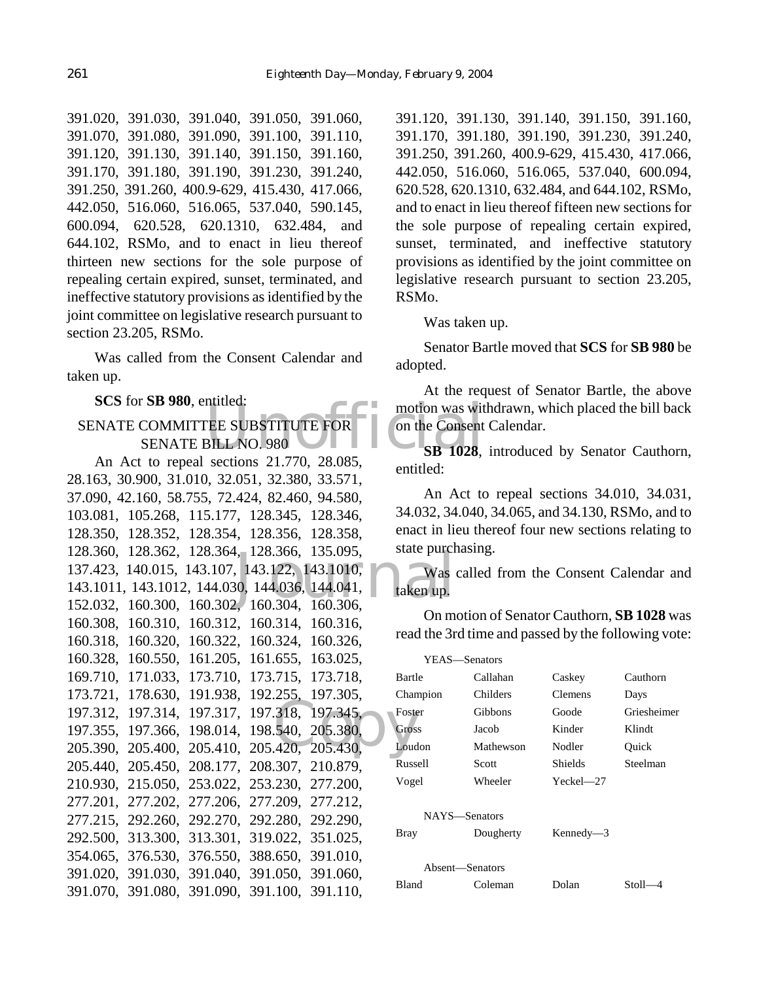391.020, 391.030, 391.040, 391.050, 391.060, 391.070, 391.080, 391.090, 391.100, 391.110, 391.120, 391.130, 391.140, 391.150, 391.160, 391.170, 391.180, 391.190, 391.230, 391.240, 391.250, 391.260, 400.9-629, 415.430, 417.066, 442.050, 516.060, 516.065, 537.040, 590.145, 600.094, 620.528, 620.1310, 632.484, and 644.102, RSMo, and to enact in lieu thereof thirteen new sections for the sole purpose of repealing certain expired, sunset, terminated, and ineffective statutory provisions as identified by the joint committee on legislative research pursuant to section 23.205, RSMo.

Was called from the Consent Calendar and taken up.

**SCS** for **SB 980**, entitled:

## motion was wit<br>
TEE SUBSTITUTE FOR<br>
BILL NO. 980<br>
SB 1028, SENATE COMMITTEE SUBSTITUTE FOR SENATE BILL NO. 980

1, 128.366, 135.095, state purch<br>
143.122, 143.1010, Was<br>
30, 144.036, 144.041, taken up.<br>
2, 160.304, 160.306, 197.312, 197.314, 197.317, 197.318, 197.345, Foste<br>
197.355, 197.366, 198.014, 198.540, 205.380, Gros<br>
205.390, 205.400, 205.410, 205.420, 205.430, Loud An Act to repeal sections 21.770, 28.085, 28.163, 30.900, 31.010, 32.051, 32.380, 33.571, 37.090, 42.160, 58.755, 72.424, 82.460, 94.580, 103.081, 105.268, 115.177, 128.345, 128.346, 128.350, 128.352, 128.354, 128.356, 128.358, 128.360, 128.362, 128.364, 128.366, 135.095, 137.423, 140.015, 143.107, 143.122, 143.1010, 143.1011, 143.1012, 144.030, 144.036, 144.041, 152.032, 160.300, 160.302, 160.304, 160.306, 160.308, 160.310, 160.312, 160.314, 160.316, 160.318, 160.320, 160.322, 160.324, 160.326, 160.328, 160.550, 161.205, 161.655, 163.025, 169.710, 171.033, 173.710, 173.715, 173.718, 173.721, 178.630, 191.938, 192.255, 197.305, 197.355, 197.366, 198.014, 198.540, 205.380, 205.390, 205.400, 205.410, 205.420, 205.430, 205.440, 205.450, 208.177, 208.307, 210.879, 210.930, 215.050, 253.022, 253.230, 277.200, 277.201, 277.202, 277.206, 277.209, 277.212, 277.215, 292.260, 292.270, 292.280, 292.290, 292.500, 313.300, 313.301, 319.022, 351.025, 354.065, 376.530, 376.550, 388.650, 391.010, 391.020, 391.030, 391.040, 391.050, 391.060, 391.070, 391.080, 391.090, 391.100, 391.110,

391.120, 391.130, 391.140, 391.150, 391.160, 391.170, 391.180, 391.190, 391.230, 391.240, 391.250, 391.260, 400.9-629, 415.430, 417.066, 442.050, 516.060, 516.065, 537.040, 600.094, 620.528, 620.1310, 632.484, and 644.102, RSMo, and to enact in lieu thereof fifteen new sections for the sole purpose of repealing certain expired, sunset, terminated, and ineffective statutory provisions as identified by the joint committee on legislative research pursuant to section 23.205, RSMo.

Was taken up.

Senator Bartle moved that **SCS** for **SB 980** be adopted.

At the request of Senator Bartle, the above motion was withdrawn, which placed the bill back on the Consent Calendar.

**SB 1028**, introduced by Senator Cauthorn, entitled:

An Act to repeal sections 34.010, 34.031, 34.032, 34.040, 34.065, and 34.130, RSMo, and to enact in lieu thereof four new sections relating to state purchasing.

Was called from the Consent Calendar and taken up.

On motion of Senator Cauthorn, **SB 1028** was read the 3rd time and passed by the following vote:

| YEAS—Senators                                      |           |                |             |  |
|----------------------------------------------------|-----------|----------------|-------------|--|
| Bartle                                             | Callahan  | Caskey         | Cauthorn    |  |
| Champion                                           | Childers  | <b>Clemens</b> | Days        |  |
| Foster                                             | Gibbons   | Goode          | Griesheimer |  |
| Gross                                              | Jacob     | Kinder         | Klindt      |  |
| Loudon                                             | Mathewson | Nodler         | Ouick       |  |
| Russell                                            | Scott     | Shields        | Steelman    |  |
| Vogel                                              | Wheeler   | $Yeckel - 27$  |             |  |
| NAYS-Senators<br>Kennedy $-3$<br>Dougherty<br>Bray |           |                |             |  |
| Absent—Senators                                    |           |                |             |  |
| Bland                                              | Coleman   | Dolan          | Stoll-      |  |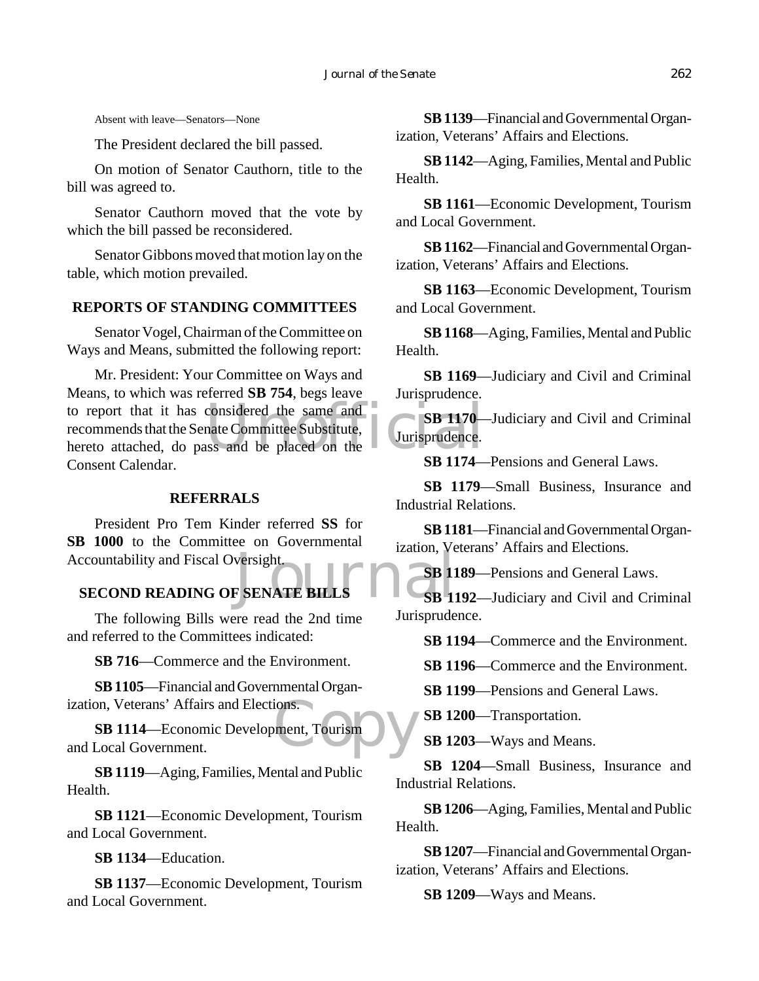Absent with leave—Senators—None

The President declared the bill passed.

On motion of Senator Cauthorn, title to the bill was agreed to.

Senator Cauthorn moved that the vote by which the bill passed be reconsidered.

Senator Gibbons moved that motion lay on the table, which motion prevailed.

## **REPORTS OF STANDING COMMITTEES**

Senator Vogel, Chairman of the Committee on Ways and Means, submitted the following report:

considered the same and<br>nate Committee Substitute,<br>ss and be placed on the<br>SP 1174 Mr. President: Your Committee on Ways and Means, to which was referred **SB 754**, begs leave to report that it has considered the same and recommends that the Senate Committee Substitute, hereto attached, do pass and be placed on the Consent Calendar.

## **REFERRALS**

Example 12<br>
SECOND READING OF SENATE BILLS<br>
SECOND READING OF SENATE BILLS<br>
SECOND READING OF SENATE BILLS President Pro Tem Kinder referred **SS** for SB 1000 to the Committee on Governmental Accountability and Fiscal Oversight.

The following Bills were read the 2nd time and referred to the Committees indicated:

**SB 716**—Commerce and the Environment.

**SB 1105**—Financial and Governmental Organization, Veterans' Affairs and Elections.

ions.<br>ment, Tourism **SB 1114**—Economic Development, Tourism and Local Government.

**SB 1119**—Aging, Families, Mental and Public Health.

**SB 1121**—Economic Development, Tourism and Local Government.

**SB 1134**—Education.

**SB 1137**—Economic Development, Tourism and Local Government.

**SB 1139**—Financial and Governmental Organization, Veterans' Affairs and Elections.

**SB 1142**—Aging, Families, Mental and Public Health.

**SB 1161**—Economic Development, Tourism and Local Government.

**SB 1162**—Financial and Governmental Organization, Veterans' Affairs and Elections.

**SB 1163**—Economic Development, Tourism and Local Government.

**SB 1168**—Aging, Families, Mental and Public Health.

**SB 1169**—Judiciary and Civil and Criminal Jurisprudence.

**SB 1170**—Judiciary and Civil and Criminal Jurisprudence.

**SB 1174**—Pensions and General Laws.

**SB 1179**—Small Business, Insurance and Industrial Relations.

**SB 1181**—Financial and Governmental Organization, Veterans' Affairs and Elections.

**SB 1189**—Pensions and General Laws.

**SB 1192**—Judiciary and Civil and Criminal Jurisprudence.

**SB 1194**—Commerce and the Environment.

**SB 1196**—Commerce and the Environment.

**SB 1199**—Pensions and General Laws.

**SB 1200**—Transportation.

**SB 1203**—Ways and Means.

**SB 1204**—Small Business, Insurance and Industrial Relations.

**SB 1206**—Aging, Families, Mental and Public Health.

**SB 1207**—Financial and Governmental Organization, Veterans' Affairs and Elections.

**SB 1209**—Ways and Means.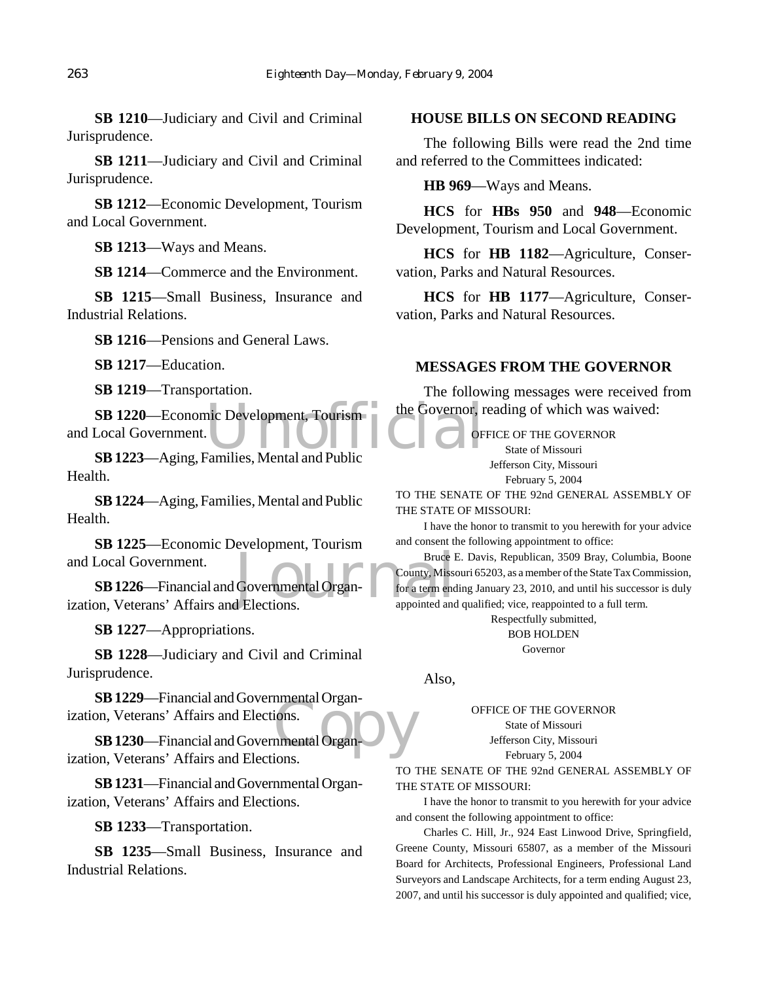**SB 1210**—Judiciary and Civil and Criminal Jurisprudence.

**SB 1211**—Judiciary and Civil and Criminal Jurisprudence.

**SB 1212**—Economic Development, Tourism and Local Government.

**SB 1213**—Ways and Means.

**SB 1214**—Commerce and the Environment.

**SB 1215**—Small Business, Insurance and Industrial Relations.

**SB 1216**—Pensions and General Laws.

**SB 1217**—Education.

**SB 1219**—Transportation.

SB 1220—Economic Development, Tourism<br>
Local Government.<br>
SB 1223—Aging Families Mental and Public and Local Government.

**SB 1223**—Aging, Families, Mental and Public Health.

**SB 1224**—Aging, Families, Mental and Public Health.

**SB 1225**—Economic Development, Tourism and Local Government.

Bruce H<br>
Governmental Organ-<br>
J Elections. appointed and **SB 1226**—Financial and Governmental Organization, Veterans' Affairs and Elections.

**SB 1227**—Appropriations.

**SB 1228**—Judiciary and Civil and Criminal Jurisprudence.

**SB 1229**—Financial and Governmental Organization, Veterans' Affairs and Elections.

nmental Organ-<br>nmental Organ-<br>ions **SB 1230**—Financial and Governmental Organization, Veterans' Affairs and Elections.

**SB 1231**—Financial and Governmental Organization, Veterans' Affairs and Elections.

**SB 1233**—Transportation.

**SB 1235**—Small Business, Insurance and Industrial Relations.

## **HOUSE BILLS ON SECOND READING**

The following Bills were read the 2nd time and referred to the Committees indicated:

**HB 969**—Ways and Means.

**HCS** for **HBs 950** and **948**—Economic Development, Tourism and Local Government.

**HCS** for **HB 1182**—Agriculture, Conservation, Parks and Natural Resources.

**HCS** for **HB 1177**—Agriculture, Conservation, Parks and Natural Resources.

## **MESSAGES FROM THE GOVERNOR**

The following messages were received from the Governor, reading of which was waived:

OFFICE OF THE GOVERNOR

State of Missouri Jefferson City, Missouri

February 5, 2004

TO THE SENATE OF THE 92nd GENERAL ASSEMBLY OF THE STATE OF MISSOURI:

I have the honor to transmit to you herewith for your advice and consent the following appointment to office:

Bruce E. Davis, Republican, 3509 Bray, Columbia, Boone County, Missouri 65203, as a member of the State Tax Commission, for a term ending January 23, 2010, and until his successor is duly appointed and qualified; vice, reappointed to a full term.

> Respectfully submitted, BOB HOLDEN Governor

Also,

OFFICE OF THE GOVERNOR

State of Missouri Jefferson City, Missouri

February 5, 2004

TO THE SENATE OF THE 92nd GENERAL ASSEMBLY OF THE STATE OF MISSOURI:

I have the honor to transmit to you herewith for your advice and consent the following appointment to office:

Charles C. Hill, Jr., 924 East Linwood Drive, Springfield, Greene County, Missouri 65807, as a member of the Missouri Board for Architects, Professional Engineers, Professional Land Surveyors and Landscape Architects, for a term ending August 23, 2007, and until his successor is duly appointed and qualified; vice,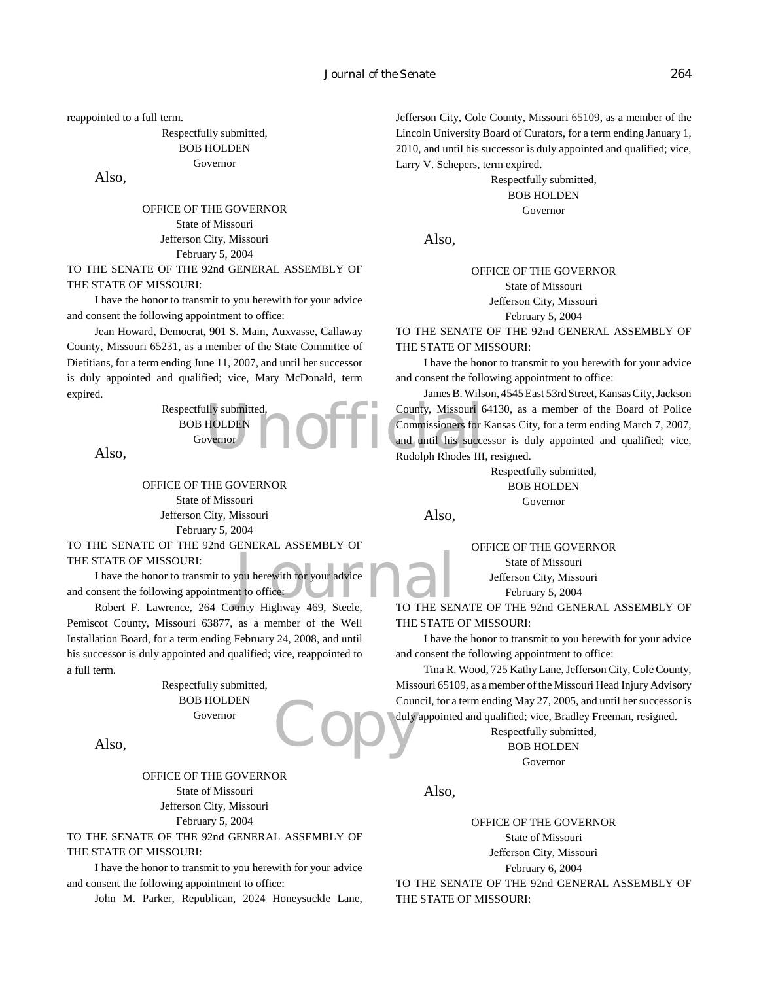reappointed to a full term.

Respectfully submitted, BOB HOLDEN Governor

Also,

OFFICE OF THE GOVERNOR State of Missouri Jefferson City, Missouri February 5, 2004

TO THE SENATE OF THE 92nd GENERAL ASSEMBLY OF THE STATE OF MISSOURI:

I have the honor to transmit to you herewith for your advice and consent the following appointment to office:

Jean Howard, Democrat, 901 S. Main, Auxvasse, Callaway County, Missouri 65231, as a member of the State Committee of Dietitians, for a term ending June 11, 2007, and until her successor is duly appointed and qualified; vice, Mary McDonald, term expired.

> Respectfully submitted, BOB HOLDEN Governor

Also,

OFFICE OF THE GOVERNOR State of Missouri Jefferson City, Missouri February 5, 2004

TO THE SENATE OF THE 92nd GENERAL ASSEMBLY OF THE STATE OF MISSOURI:

by a here with for your advice<br>to office:<br>unty Highway 469. Steele. TO THE SEN I have the honor to transmit to you herewith for your advice and consent the following appointment to office:

Robert F. Lawrence, 264 County Highway 469, Steele, Pemiscot County, Missouri 63877, as a member of the Well Installation Board, for a term ending February 24, 2008, and until his successor is duly appointed and qualified; vice, reappointed to a full term.

> Respectfully submitted, BOB HOLDEN Governor

Also,

OFFICE OF THE GOVERNOR State of Missouri Jefferson City, Missouri February 5, 2004

TO THE SENATE OF THE 92nd GENERAL ASSEMBLY OF THE STATE OF MISSOURI:

I have the honor to transmit to you herewith for your advice and consent the following appointment to office:

John M. Parker, Republican, 2024 Honeysuckle Lane,

Jefferson City, Cole County, Missouri 65109, as a member of the Lincoln University Board of Curators, for a term ending January 1, 2010, and until his successor is duly appointed and qualified; vice, Larry V. Schepers, term expired.

> Respectfully submitted, BOB HOLDEN Governor

Also,

OFFICE OF THE GOVERNOR State of Missouri Jefferson City, Missouri February 5, 2004

TO THE SENATE OF THE 92nd GENERAL ASSEMBLY OF THE STATE OF MISSOURI:

I have the honor to transmit to you herewith for your advice and consent the following appointment to office:

Ily submitted,<br>
HOLDEN<br>
Wernor<br>
The Commissioners for l<br>
Rudolph Rhodes III.<br>
Rudolph Rhodes III. James B. Wilson, 4545 East 53rd Street, Kansas City, Jackson County, Missouri 64130, as a member of the Board of Police Commissioners for Kansas City, for a term ending March 7, 2007, and until his successor is duly appointed and qualified; vice, Rudolph Rhodes III, resigned.

> Respectfully submitted, BOB HOLDEN Governor

Also,

OFFICE OF THE GOVERNOR

State of Missouri Jefferson City, Missouri

February 5, 2004

TO THE SENATE OF THE 92nd GENERAL ASSEMBLY OF THE STATE OF MISSOURI:

I have the honor to transmit to you herewith for your advice and consent the following appointment to office:

Copy duly Tina R. Wood, 725 Kathy Lane, Jefferson City, Cole County, Missouri 65109, as a member of the Missouri Head Injury Advisory Council, for a term ending May 27, 2005, and until her successor is duly appointed and qualified; vice, Bradley Freeman, resigned.

Respectfully submitted, BOB HOLDEN Governor

Also,

OFFICE OF THE GOVERNOR State of Missouri Jefferson City, Missouri February 6, 2004 TO THE SENATE OF THE 92nd GENERAL ASSEMBLY OF THE STATE OF MISSOURI: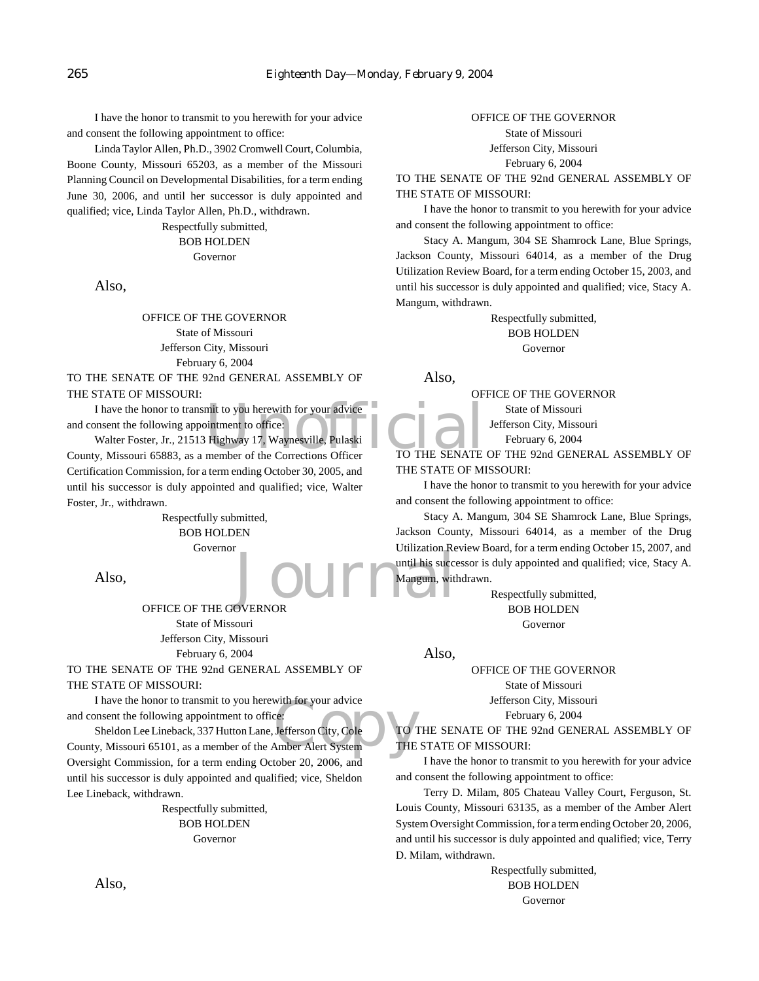I have the honor to transmit to you herewith for your advice and consent the following appointment to office:

Linda Taylor Allen, Ph.D., 3902 Cromwell Court, Columbia, Boone County, Missouri 65203, as a member of the Missouri Planning Council on Developmental Disabilities, for a term ending June 30, 2006, and until her successor is duly appointed and qualified; vice, Linda Taylor Allen, Ph.D., withdrawn.

> Respectfully submitted, BOB HOLDEN

Governor

Also,

OFFICE OF THE GOVERNOR State of Missouri Jefferson City, Missouri February 6, 2004

TO THE SENATE OF THE 92nd GENERAL ASSEMBLY OF THE STATE OF MISSOURI:

and consent the following appointment to office:

I have the honor to transmit to you herewith for your advice<br>
I moment the following appointment to office:<br>
Walter Foster, Jr., 21513 Highway 17, Waynesville, Pulaski<br>
V, Missouri 65883, as a member of the Corrections Off Walter Foster, Jr., 21513 Highway 17, Waynesville, Pulaski County, Missouri 65883, as a member of the Corrections Officer Certification Commission, for a term ending October 30, 2005, and until his successor is duly appointed and qualified; vice, Walter Foster, Jr., withdrawn.

> Respectfully submitted, BOB HOLDEN Governor

Also,

OFFICE OF THE GOVERNOR State of Missouri Jefferson City, Missouri February 6, 2004

TO THE SENATE OF THE 92nd GENERAL ASSEMBLY OF THE STATE OF MISSOURI:

I have the honor to transmit to you herewith for your advice and consent the following appointment to office:

I have the honor to transmit to you herewith for your advice<br>
and consent the following appointment to office:<br>
Sheldon Lee Lineback, 337 Hutton Lane, Jefferson City, Cole<br>
County, Missouri 65101, as a member of the Amber Sheldon Lee Lineback, 337 Hutton Lane, Jefferson City, Cole Oversight Commission, for a term ending October 20, 2006, and until his successor is duly appointed and qualified; vice, Sheldon Lee Lineback, withdrawn.

> Respectfully submitted, BOB HOLDEN Governor

### OFFICE OF THE GOVERNOR

State of Missouri Jefferson City, Missouri February 6, 2004

TO THE SENATE OF THE 92nd GENERAL ASSEMBLY OF THE STATE OF MISSOURI:

I have the honor to transmit to you herewith for your advice and consent the following appointment to office:

Stacy A. Mangum, 304 SE Shamrock Lane, Blue Springs, Jackson County, Missouri 64014, as a member of the Drug Utilization Review Board, for a term ending October 15, 2003, and until his successor is duly appointed and qualified; vice, Stacy A. Mangum, withdrawn.

> Respectfully submitted, BOB HOLDEN Governor

Also,

OFFICE OF THE GOVERNOR State of Missouri Jefferson City, Missouri February 6, 2004

TO THE SENATE OF THE 92nd GENERAL ASSEMBLY OF THE STATE OF MISSOURI:

I have the honor to transmit to you herewith for your advice and consent the following appointment to office:

Journal Mangum, with Stacy A. Mangum, 304 SE Shamrock Lane, Blue Springs, Jackson County, Missouri 64014, as a member of the Drug Utilization Review Board, for a term ending October 15, 2007, and until his successor is duly appointed and qualified; vice, Stacy A. Mangum, withdrawn.

Respectfully submitted, BOB HOLDEN Governor

Also,

OFFICE OF THE GOVERNOR

State of Missouri

Jefferson City, Missouri

February 6, 2004

TO THE SENATE OF THE 92nd GENERAL ASSEMBLY OF THE STATE OF MISSOURI:

I have the honor to transmit to you herewith for your advice and consent the following appointment to office:

Terry D. Milam, 805 Chateau Valley Court, Ferguson, St. Louis County, Missouri 63135, as a member of the Amber Alert System Oversight Commission, for a term ending October 20, 2006, and until his successor is duly appointed and qualified; vice, Terry D. Milam, withdrawn.

> Respectfully submitted, BOB HOLDEN Governor

Also,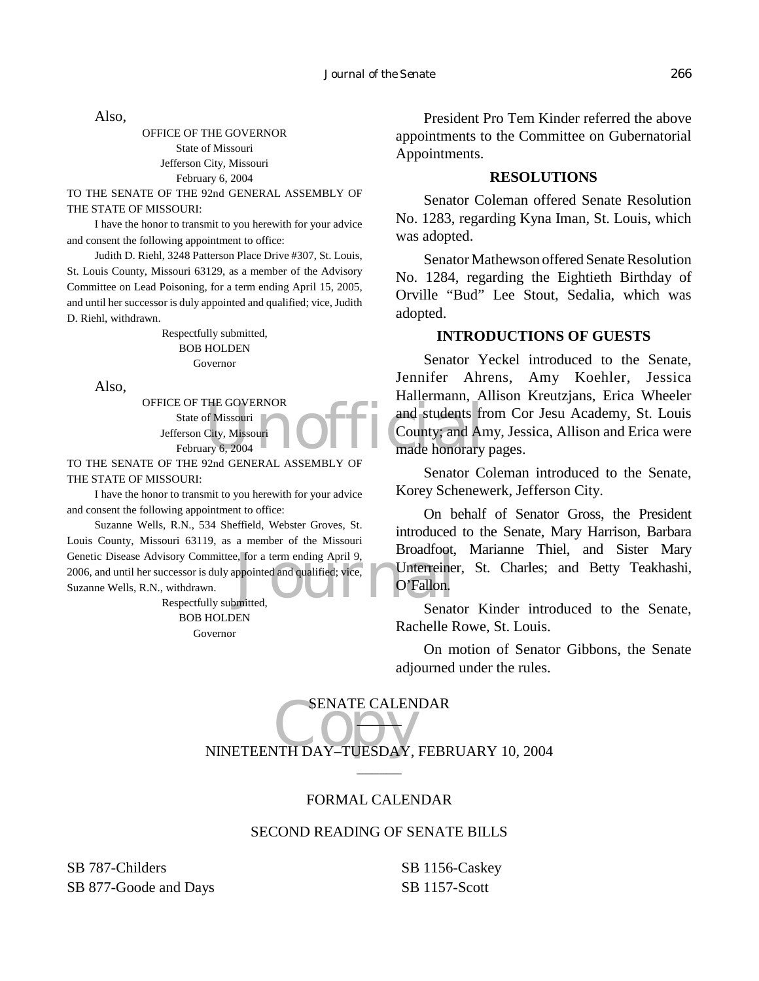Also,

OFFICE OF THE GOVERNOR State of Missouri Jefferson City, Missouri February 6, 2004

TO THE SENATE OF THE 92nd GENERAL ASSEMBLY OF THE STATE OF MISSOURI:

I have the honor to transmit to you herewith for your advice and consent the following appointment to office:

Judith D. Riehl, 3248 Patterson Place Drive #307, St. Louis, St. Louis County, Missouri 63129, as a member of the Advisory Committee on Lead Poisoning, for a term ending April 15, 2005, and until her successor is duly appointed and qualified; vice, Judith D. Riehl, withdrawn.

> Respectfully submitted, BOB HOLDEN Governor

Also,

OFFICE OF THE GOVERNOR State of Missouri Jefferson City, Missouri February 6, 2004

TO THE SENATE OF THE 92nd GENERAL ASSEMBLY OF THE STATE OF MISSOURI:

I have the honor to transmit to you herewith for your advice and consent the following appointment to office:

e, for a term ending April 9, Broadcool,<br>ppointed and qualified; vice, Unterreine<br>O'Fallon. Suzanne Wells, R.N., 534 Sheffield, Webster Groves, St. Louis County, Missouri 63119, as a member of the Missouri Genetic Disease Advisory Committee, for a term ending April 9, 2006, and until her successor is duly appointed and qualified; vice, Suzanne Wells, R.N., withdrawn.

Respectfully submitted, BOB HOLDEN Governor

President Pro Tem Kinder referred the above appointments to the Committee on Gubernatorial Appointments.

## **RESOLUTIONS**

Senator Coleman offered Senate Resolution No. 1283, regarding Kyna Iman, St. Louis, which was adopted.

Senator Mathewson offered Senate Resolution No. 1284, regarding the Eightieth Birthday of Orville "Bud" Lee Stout, Sedalia, which was adopted.

## **INTRODUCTIONS OF GUESTS**

THE GOVERNOR<br>
of Missouri<br>
City, Missouri<br>
City, Missouri<br>
OFFIC County; and Ar<br>
made honorary<br>
made honorary Senator Yeckel introduced to the Senate, Jennifer Ahrens, Amy Koehler, Jessica Hallermann, Allison Kreutzjans, Erica Wheeler and students from Cor Jesu Academy, St. Louis County; and Amy, Jessica, Allison and Erica were made honorary pages.

> Senator Coleman introduced to the Senate, Korey Schenewerk, Jefferson City.

> On behalf of Senator Gross, the President introduced to the Senate, Mary Harrison, Barbara Broadfoot, Marianne Thiel, and Sister Mary Unterreiner, St. Charles; and Betty Teakhashi, O'Fallon.

> Senator Kinder introduced to the Senate, Rachelle Rowe, St. Louis.

> On motion of Senator Gibbons, the Senate adjourned under the rules.

SENATE CALENDAR<br>NINETEENTH DAY–TUESDAY, FEBRUARY 10, 2004 SENATE CALENDAR  $\blacksquare$ 

## FORMAL CALENDAR

 $\overline{\phantom{a}}$ 

## SECOND READING OF SENATE BILLS

SB 787-Childers SB 877-Goode and Days SB 1156-Caskey SB 1157-Scott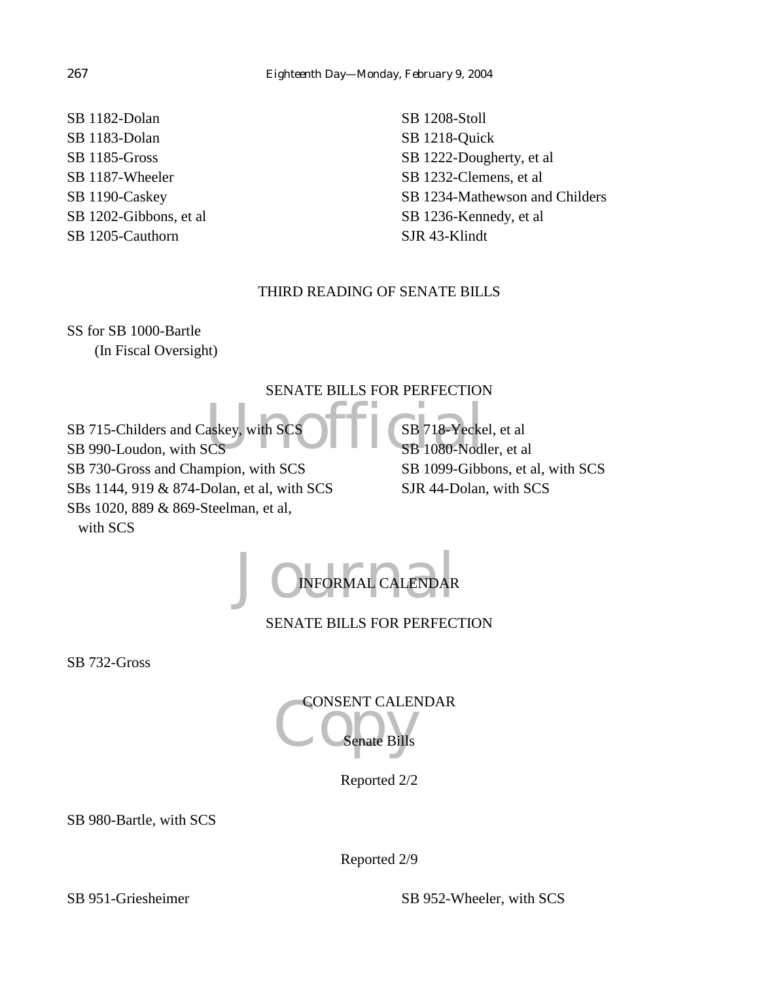SB 1182-Dolan SB 1183-Dolan SB 1185-Gross SB 1187-Wheeler SB 1190-Caskey SB 1202-Gibbons, et al SB 1205-Cauthorn

SB 1208-Stoll SB 1218-Quick SB 1222-Dougherty, et al SB 1232-Clemens, et al SB 1234-Mathewson and Childers SB 1236-Kennedy, et al SJR 43-Klindt

## THIRD READING OF SENATE BILLS

SS for SB 1000-Bartle (In Fiscal Oversight)

## SENATE BILLS FOR PERFECTION

askey, with SCS SERVIS SB 718-Yecke SB 715-Childers and Caskey, with SCS SB 990-Loudon, with SCS SB 730-Gross and Champion, with SCS SBs 1144, 919 & 874-Dolan, et al, with SCS SBs 1020, 889 & 869-Steelman, et al, with SCS

SB 718-Yeckel, et al SB 1080-Nodler, et al SB 1099-Gibbons, et al, with SCS SJR 44-Dolan, with SCS

JO INFORMAL CALENDAR INFORMAL CALENDAR

SENATE BILLS FOR PERFECTION

SB 732-Gross

CONSENT CALENDAR enate Bills

Reported 2/2

SB 980-Bartle, with SCS

Reported 2/9

SB 951-Griesheimer SB 952-Wheeler, with SCS